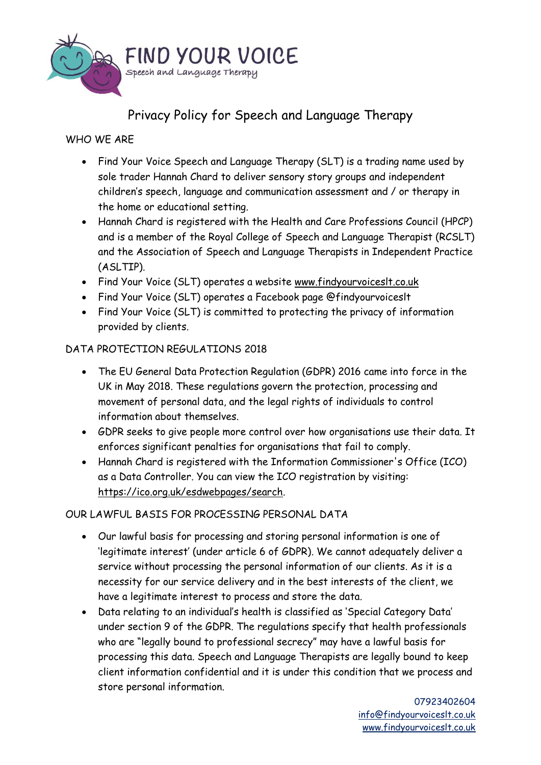

# Privacy Policy for Speech and Language Therapy

# WHO WE ARE

- Find Your Voice Speech and Language Therapy (SLT) is a trading name used by sole trader Hannah Chard to deliver sensory story groups and independent children's speech, language and communication assessment and / or therapy in the home or educational setting.
- Hannah Chard is registered with the Health and Care Professions Council (HPCP) and is a member of the Royal College of Speech and Language Therapist (RCSLT) and the Association of Speech and Language Therapists in Independent Practice (ASLTIP).
- Find Your Voice (SLT) operates a website [www.findyourvoiceslt.co.uk](http://www.findyourvoiceslt.co.uk/)
- Find Your Voice (SLT) operates a Facebook page @findyourvoiceslt
- Find Your Voice (SLT) is committed to protecting the privacy of information provided by clients.

# DATA PROTECTION REGULATIONS 2018

- The EU General Data Protection Regulation (GDPR) 2016 came into force in the UK in May 2018. These regulations govern the protection, processing and movement of personal data, and the legal rights of individuals to control information about themselves.
- GDPR seeks to give people more control over how organisations use their data. It enforces significant penalties for organisations that fail to comply.
- Hannah Chard is registered with the Information Commissioner's Office (ICO) as a Data Controller. You can view the ICO registration by visiting: [https://ico.org.uk/esdwebpages/search.](https://ico.org.uk/esdwebpages/search)

# OUR LAWFUL BASIS FOR PROCESSING PERSONAL DATA

- Our lawful basis for processing and storing personal information is one of 'legitimate interest' (under article 6 of GDPR). We cannot adequately deliver a service without processing the personal information of our clients. As it is a necessity for our service delivery and in the best interests of the client, we have a legitimate interest to process and store the data.
- Data relating to an individual's health is classified as 'Special Category Data' under section 9 of the GDPR. The regulations specify that health professionals who are "legally bound to professional secrecy" may have a lawful basis for processing this data. Speech and Language Therapists are legally bound to keep client information confidential and it is under this condition that we process and store personal information.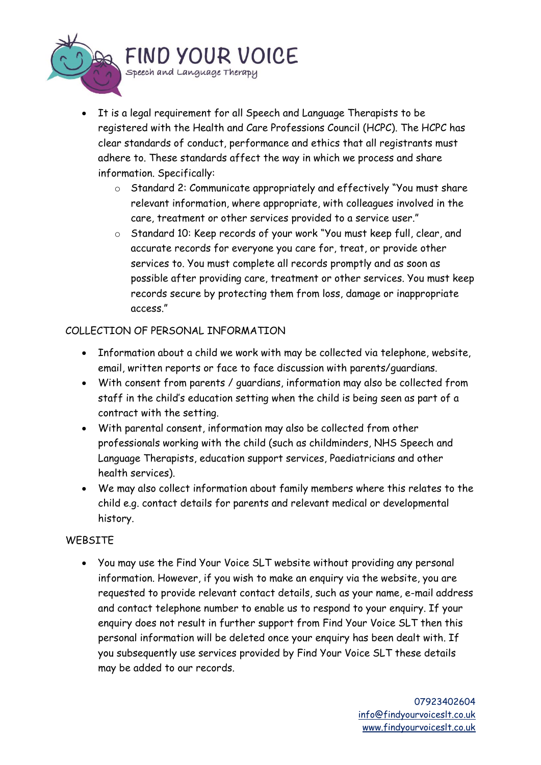

- It is a legal requirement for all Speech and Language Therapists to be registered with the Health and Care Professions Council (HCPC). The HCPC has clear standards of conduct, performance and ethics that all registrants must adhere to. These standards affect the way in which we process and share information. Specifically:
	- o Standard 2: Communicate appropriately and effectively "You must share relevant information, where appropriate, with colleagues involved in the care, treatment or other services provided to a service user."
	- o Standard 10: Keep records of your work "You must keep full, clear, and accurate records for everyone you care for, treat, or provide other services to. You must complete all records promptly and as soon as possible after providing care, treatment or other services. You must keep records secure by protecting them from loss, damage or inappropriate access."

## COLLECTION OF PERSONAL INFORMATION

- Information about a child we work with may be collected via telephone, website, email, written reports or face to face discussion with parents/guardians.
- With consent from parents / guardians, information may also be collected from staff in the child's education setting when the child is being seen as part of a contract with the setting.
- With parental consent, information may also be collected from other professionals working with the child (such as childminders, NHS Speech and Language Therapists, education support services, Paediatricians and other health services).
- We may also collect information about family members where this relates to the child e.g. contact details for parents and relevant medical or developmental history.

## WEBSITE

• You may use the Find Your Voice SLT website without providing any personal information. However, if you wish to make an enquiry via the website, you are requested to provide relevant contact details, such as your name, e-mail address and contact telephone number to enable us to respond to your enquiry. If your enquiry does not result in further support from Find Your Voice SLT then this personal information will be deleted once your enquiry has been dealt with. If you subsequently use services provided by Find Your Voice SLT these details may be added to our records.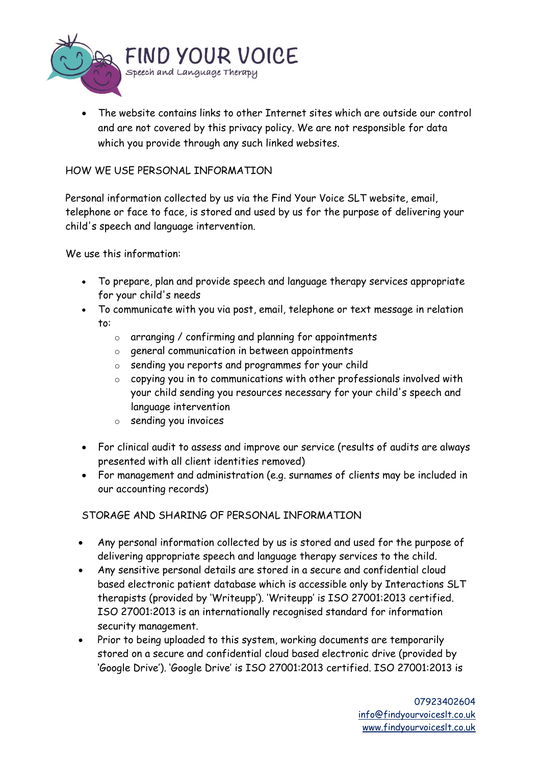

The website contains links to other Internet sites which are outside our control and are not covered by this privacy policy. We are not responsible for data which you provide through any such linked websites.

#### HOW WE USE PERSONAL INFORMATION

Personal information collected by us via the Find Your Voice SLT website, email, telephone or face to face, is stored and used by us for the purpose of delivering your child's speech and language intervention.

We use this information:

- To prepare, plan and provide speech and language therapy services appropriate for your child's needs
- To communicate with you via post, email, telephone or text message in relation to:
	- o arranging / confirming and planning for appointments
	- o general communication in between appointments
	- o sending you reports and programmes for your child
	- o copying you in to communications with other professionals involved with your child sending you resources necessary for your child's speech and language intervention
	- o sending you invoices
- For clinical audit to assess and improve our service (results of audits are always presented with all client identities removed)
- For management and administration (e.g. surnames of clients may be included in our accounting records)

STORAGE AND SHARING OF PERSONAL INFORMATION

- Any personal information collected by us is stored and used for the purpose of delivering appropriate speech and language therapy services to the child.
- Any sensitive personal details are stored in a secure and confidential cloud based electronic patient database which is accessible only by Interactions SLT therapists (provided by 'Writeupp'). 'Writeupp' is ISO 27001:2013 certified. ISO 27001:2013 is an internationally recognised standard for information security management.
- Prior to being uploaded to this system, working documents are temporarily stored on a secure and confidential cloud based electronic drive (provided by 'Google Drive'). 'Google Drive' is ISO 27001:2013 certified. ISO 27001:2013 is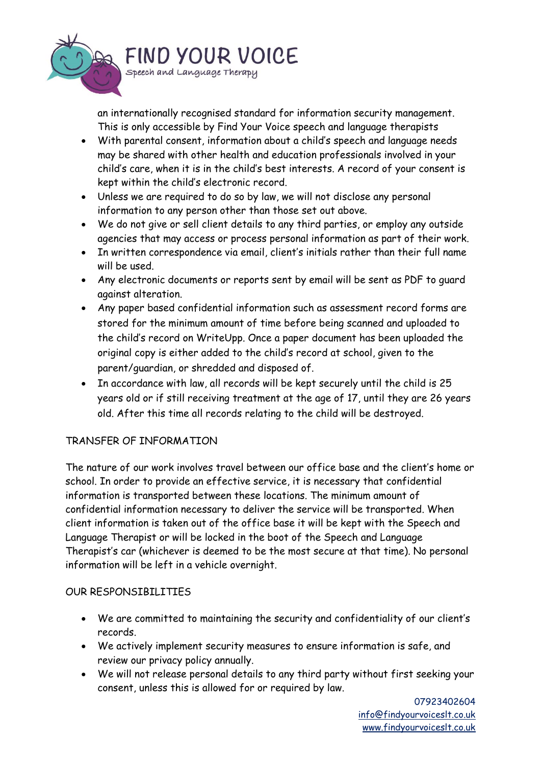

an internationally recognised standard for information security management. This is only accessible by Find Your Voice speech and language therapists

- With parental consent, information about a child's speech and language needs may be shared with other health and education professionals involved in your child's care, when it is in the child's best interests. A record of your consent is kept within the child's electronic record.
- Unless we are required to do so by law, we will not disclose any personal information to any person other than those set out above.
- We do not give or sell client details to any third parties, or employ any outside agencies that may access or process personal information as part of their work.
- In written correspondence via email, client's initials rather than their full name will be used.
- Any electronic documents or reports sent by email will be sent as PDF to guard against alteration.
- Any paper based confidential information such as assessment record forms are stored for the minimum amount of time before being scanned and uploaded to the child's record on WriteUpp. Once a paper document has been uploaded the original copy is either added to the child's record at school, given to the parent/guardian, or shredded and disposed of.
- In accordance with law, all records will be kept securely until the child is 25 years old or if still receiving treatment at the age of 17, until they are 26 years old. After this time all records relating to the child will be destroyed.

## TRANSFER OF INFORMATION

The nature of our work involves travel between our office base and the client's home or school. In order to provide an effective service, it is necessary that confidential information is transported between these locations. The minimum amount of confidential information necessary to deliver the service will be transported. When client information is taken out of the office base it will be kept with the Speech and Language Therapist or will be locked in the boot of the Speech and Language Therapist's car (whichever is deemed to be the most secure at that time). No personal information will be left in a vehicle overnight.

## OUR RESPONSIBILITIES

- We are committed to maintaining the security and confidentiality of our client's records.
- We actively implement security measures to ensure information is safe, and review our privacy policy annually.
- We will not release personal details to any third party without first seeking your consent, unless this is allowed for or required by law.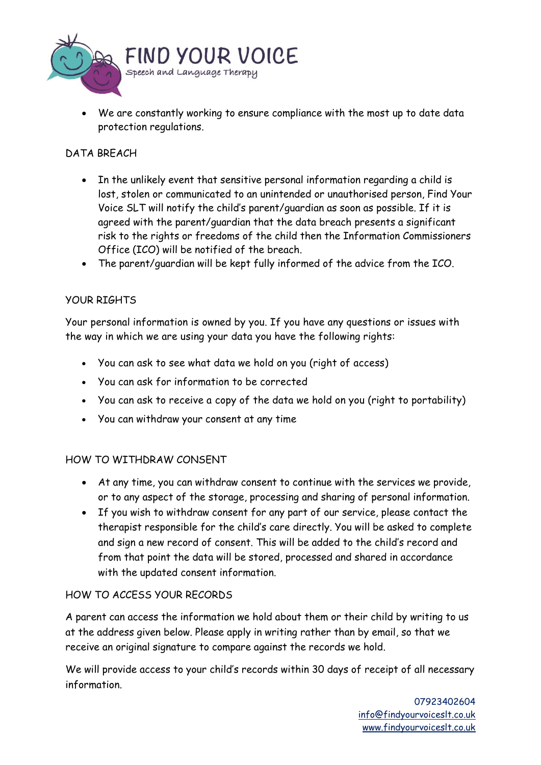

• We are constantly working to ensure compliance with the most up to date data protection regulations.

## DATA BREACH

- In the unlikely event that sensitive personal information regarding a child is lost, stolen or communicated to an unintended or unauthorised person, Find Your Voice SLT will notify the child's parent/guardian as soon as possible. If it is agreed with the parent/guardian that the data breach presents a significant risk to the rights or freedoms of the child then the Information Commissioners Office (ICO) will be notified of the breach.
- The parent/guardian will be kept fully informed of the advice from the ICO.

#### YOUR RIGHTS

Your personal information is owned by you. If you have any questions or issues with the way in which we are using your data you have the following rights:

- You can ask to see what data we hold on you (right of access)
- You can ask for information to be corrected
- You can ask to receive a copy of the data we hold on you (right to portability)
- You can withdraw your consent at any time

#### HOW TO WITHDRAW CONSENT

- At any time, you can withdraw consent to continue with the services we provide, or to any aspect of the storage, processing and sharing of personal information.
- If you wish to withdraw consent for any part of our service, please contact the therapist responsible for the child's care directly. You will be asked to complete and sign a new record of consent. This will be added to the child's record and from that point the data will be stored, processed and shared in accordance with the updated consent information.

#### HOW TO ACCESS YOUR RECORDS

A parent can access the information we hold about them or their child by writing to us at the address given below. Please apply in writing rather than by email, so that we receive an original signature to compare against the records we hold.

We will provide access to your child's records within 30 days of receipt of all necessary information.